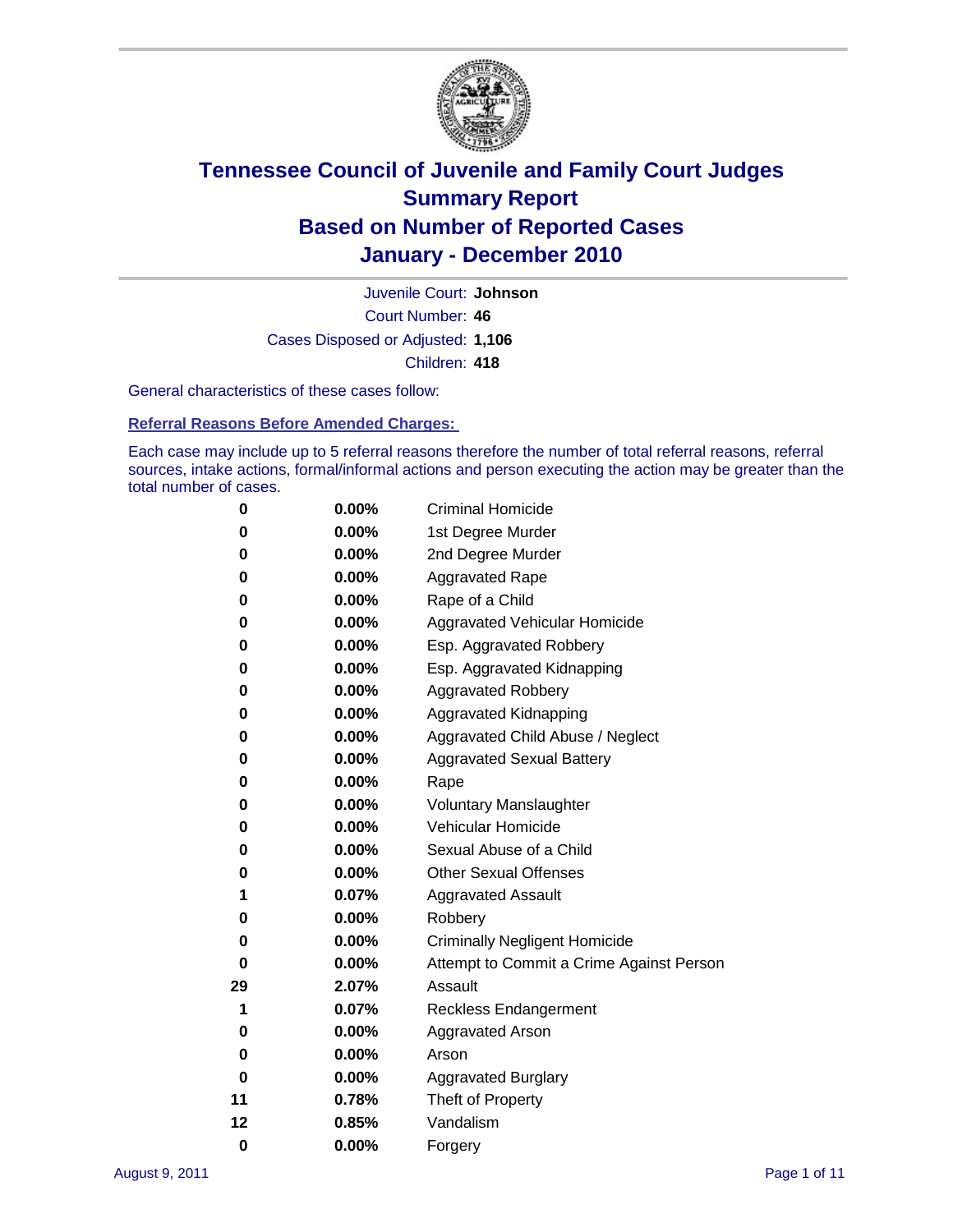

Court Number: **46** Juvenile Court: **Johnson** Cases Disposed or Adjusted: **1,106** Children: **418**

General characteristics of these cases follow:

**Referral Reasons Before Amended Charges:** 

Each case may include up to 5 referral reasons therefore the number of total referral reasons, referral sources, intake actions, formal/informal actions and person executing the action may be greater than the total number of cases.

| 0  | 0.00%    | <b>Criminal Homicide</b>                 |
|----|----------|------------------------------------------|
| 0  | 0.00%    | 1st Degree Murder                        |
| 0  | 0.00%    | 2nd Degree Murder                        |
| 0  | 0.00%    | <b>Aggravated Rape</b>                   |
| 0  | 0.00%    | Rape of a Child                          |
| 0  | 0.00%    | Aggravated Vehicular Homicide            |
| 0  | 0.00%    | Esp. Aggravated Robbery                  |
| 0  | 0.00%    | Esp. Aggravated Kidnapping               |
| 0  | 0.00%    | <b>Aggravated Robbery</b>                |
| 0  | 0.00%    | Aggravated Kidnapping                    |
| 0  | 0.00%    | Aggravated Child Abuse / Neglect         |
| 0  | 0.00%    | <b>Aggravated Sexual Battery</b>         |
| 0  | 0.00%    | Rape                                     |
| 0  | $0.00\%$ | <b>Voluntary Manslaughter</b>            |
| 0  | 0.00%    | Vehicular Homicide                       |
| 0  | 0.00%    | Sexual Abuse of a Child                  |
| 0  | 0.00%    | <b>Other Sexual Offenses</b>             |
| 1  | 0.07%    | <b>Aggravated Assault</b>                |
| 0  | 0.00%    | Robbery                                  |
| 0  | 0.00%    | <b>Criminally Negligent Homicide</b>     |
| 0  | 0.00%    | Attempt to Commit a Crime Against Person |
| 29 | 2.07%    | Assault                                  |
| 1  | 0.07%    | <b>Reckless Endangerment</b>             |
| 0  | 0.00%    | <b>Aggravated Arson</b>                  |
| 0  | 0.00%    | Arson                                    |
| 0  | 0.00%    | <b>Aggravated Burglary</b>               |
| 11 | 0.78%    | Theft of Property                        |
| 12 | 0.85%    | Vandalism                                |
| 0  | 0.00%    | Forgery                                  |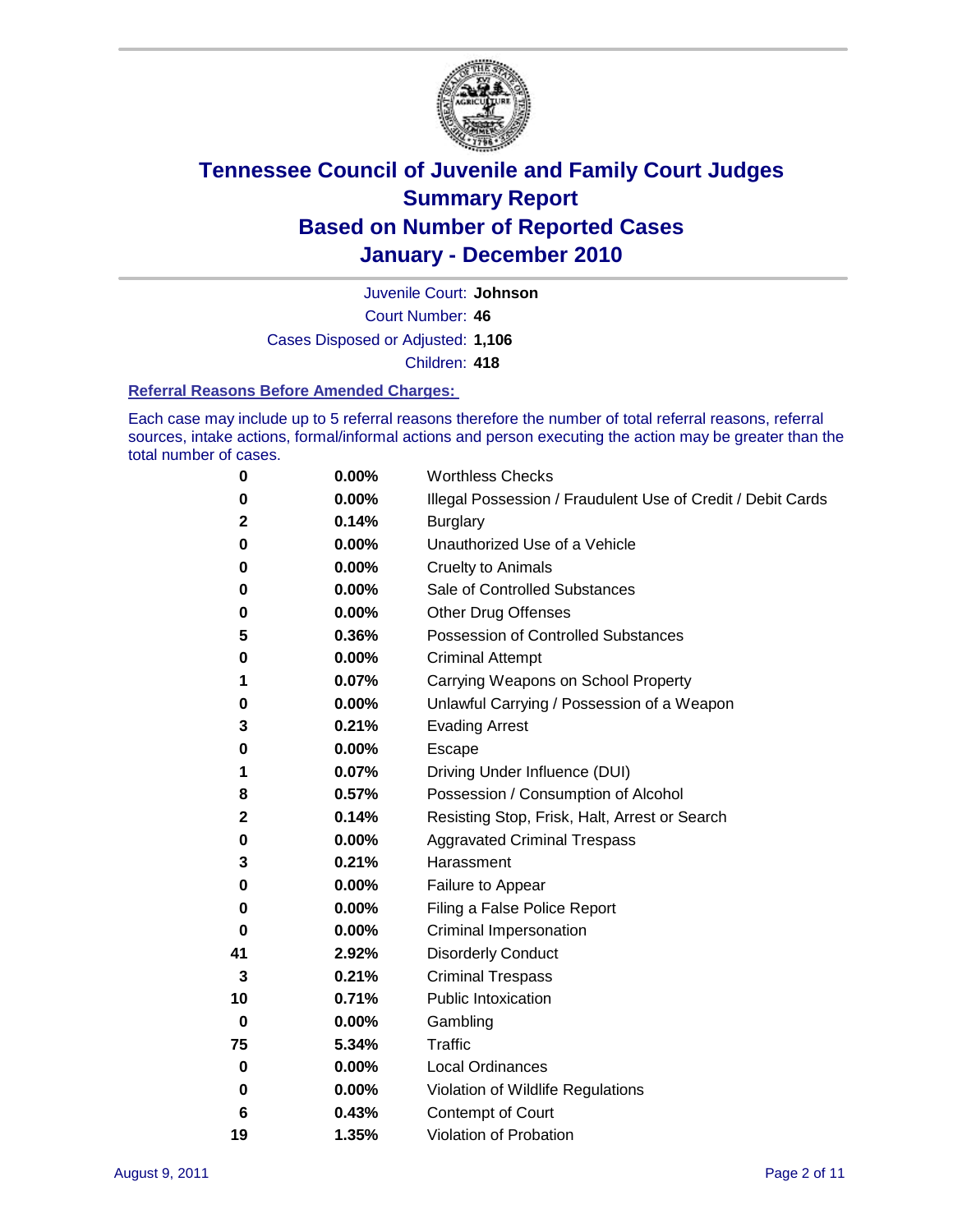

Court Number: **46** Juvenile Court: **Johnson** Cases Disposed or Adjusted: **1,106** Children: **418**

#### **Referral Reasons Before Amended Charges:**

Each case may include up to 5 referral reasons therefore the number of total referral reasons, referral sources, intake actions, formal/informal actions and person executing the action may be greater than the total number of cases.

| 0  | 0.00% | <b>Worthless Checks</b>                                     |
|----|-------|-------------------------------------------------------------|
| 0  | 0.00% | Illegal Possession / Fraudulent Use of Credit / Debit Cards |
| 2  | 0.14% | <b>Burglary</b>                                             |
| 0  | 0.00% | Unauthorized Use of a Vehicle                               |
| 0  | 0.00% | <b>Cruelty to Animals</b>                                   |
| 0  | 0.00% | Sale of Controlled Substances                               |
| 0  | 0.00% | <b>Other Drug Offenses</b>                                  |
| 5  | 0.36% | <b>Possession of Controlled Substances</b>                  |
| 0  | 0.00% | <b>Criminal Attempt</b>                                     |
| 1  | 0.07% | Carrying Weapons on School Property                         |
| 0  | 0.00% | Unlawful Carrying / Possession of a Weapon                  |
| 3  | 0.21% | <b>Evading Arrest</b>                                       |
| 0  | 0.00% | Escape                                                      |
| 1  | 0.07% | Driving Under Influence (DUI)                               |
| 8  | 0.57% | Possession / Consumption of Alcohol                         |
| 2  | 0.14% | Resisting Stop, Frisk, Halt, Arrest or Search               |
| 0  | 0.00% | <b>Aggravated Criminal Trespass</b>                         |
| 3  | 0.21% | Harassment                                                  |
| 0  | 0.00% | Failure to Appear                                           |
| 0  | 0.00% | Filing a False Police Report                                |
| 0  | 0.00% | Criminal Impersonation                                      |
| 41 | 2.92% | <b>Disorderly Conduct</b>                                   |
| 3  | 0.21% | <b>Criminal Trespass</b>                                    |
| 10 | 0.71% | <b>Public Intoxication</b>                                  |
| 0  | 0.00% | Gambling                                                    |
| 75 | 5.34% | <b>Traffic</b>                                              |
| 0  | 0.00% | <b>Local Ordinances</b>                                     |
| 0  | 0.00% | Violation of Wildlife Regulations                           |
| 6  | 0.43% | Contempt of Court                                           |
| 19 | 1.35% | Violation of Probation                                      |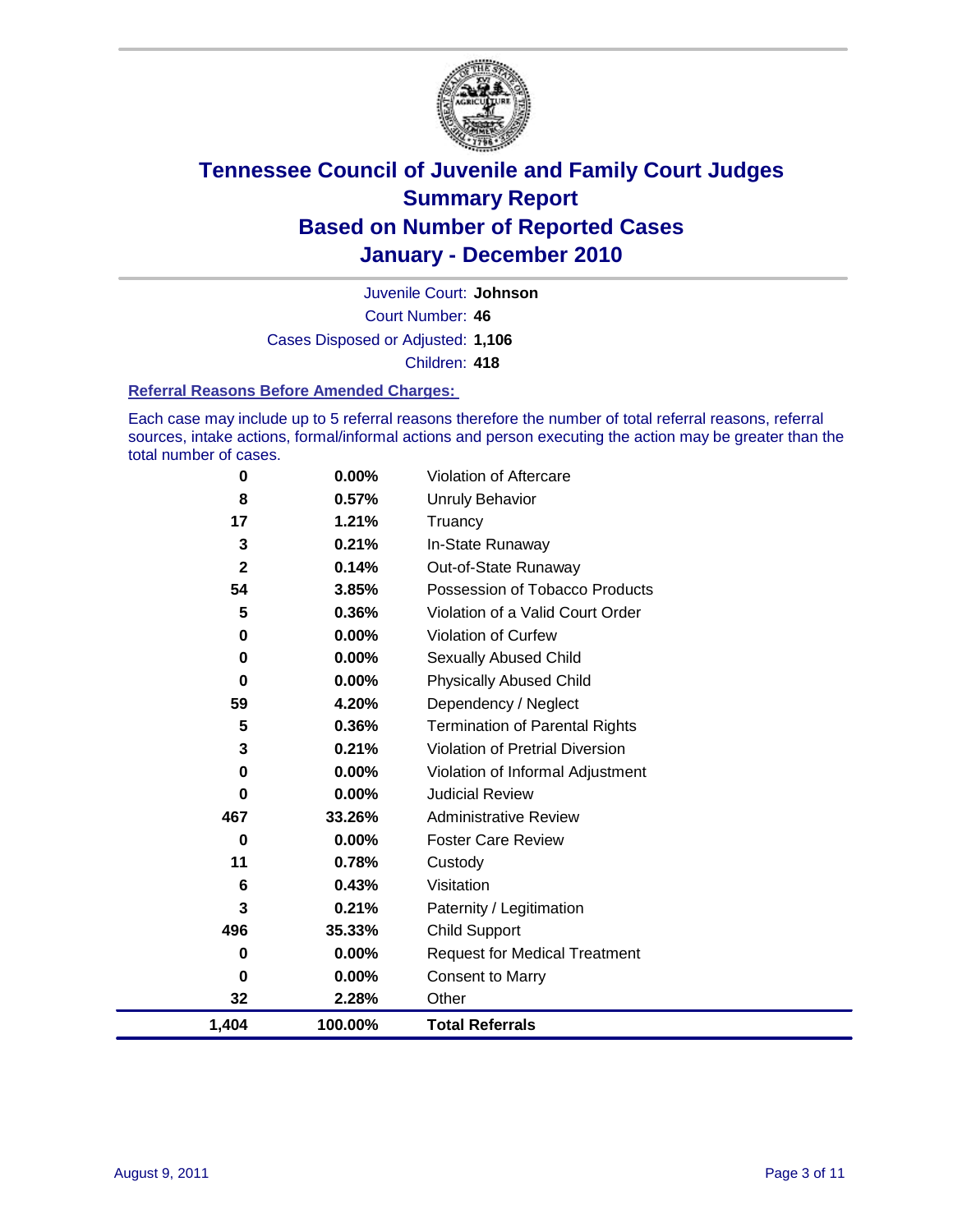

Court Number: **46** Juvenile Court: **Johnson** Cases Disposed or Adjusted: **1,106** Children: **418**

#### **Referral Reasons Before Amended Charges:**

Each case may include up to 5 referral reasons therefore the number of total referral reasons, referral sources, intake actions, formal/informal actions and person executing the action may be greater than the total number of cases.

| 0            | 0.00%    | Violation of Aftercare                 |
|--------------|----------|----------------------------------------|
| 8            | 0.57%    | <b>Unruly Behavior</b>                 |
| 17           | 1.21%    | Truancy                                |
| 3            | 0.21%    | In-State Runaway                       |
| $\mathbf{2}$ | 0.14%    | Out-of-State Runaway                   |
| 54           | 3.85%    | Possession of Tobacco Products         |
| 5            | 0.36%    | Violation of a Valid Court Order       |
| 0            | 0.00%    | <b>Violation of Curfew</b>             |
| 0            | $0.00\%$ | Sexually Abused Child                  |
| $\mathbf 0$  | 0.00%    | <b>Physically Abused Child</b>         |
| 59           | 4.20%    | Dependency / Neglect                   |
| 5            | 0.36%    | <b>Termination of Parental Rights</b>  |
| 3            | 0.21%    | <b>Violation of Pretrial Diversion</b> |
| 0            | 0.00%    | Violation of Informal Adjustment       |
| 0            | $0.00\%$ | <b>Judicial Review</b>                 |
| 467          | 33.26%   | <b>Administrative Review</b>           |
| 0            | 0.00%    | <b>Foster Care Review</b>              |
| 11           | 0.78%    | Custody                                |
| 6            | 0.43%    | Visitation                             |
| 3            | 0.21%    | Paternity / Legitimation               |
| 496          | 35.33%   | Child Support                          |
| 0            | $0.00\%$ | <b>Request for Medical Treatment</b>   |
| 0            | $0.00\%$ | <b>Consent to Marry</b>                |
| 32           | 2.28%    | Other                                  |
| 1,404        | 100.00%  | <b>Total Referrals</b>                 |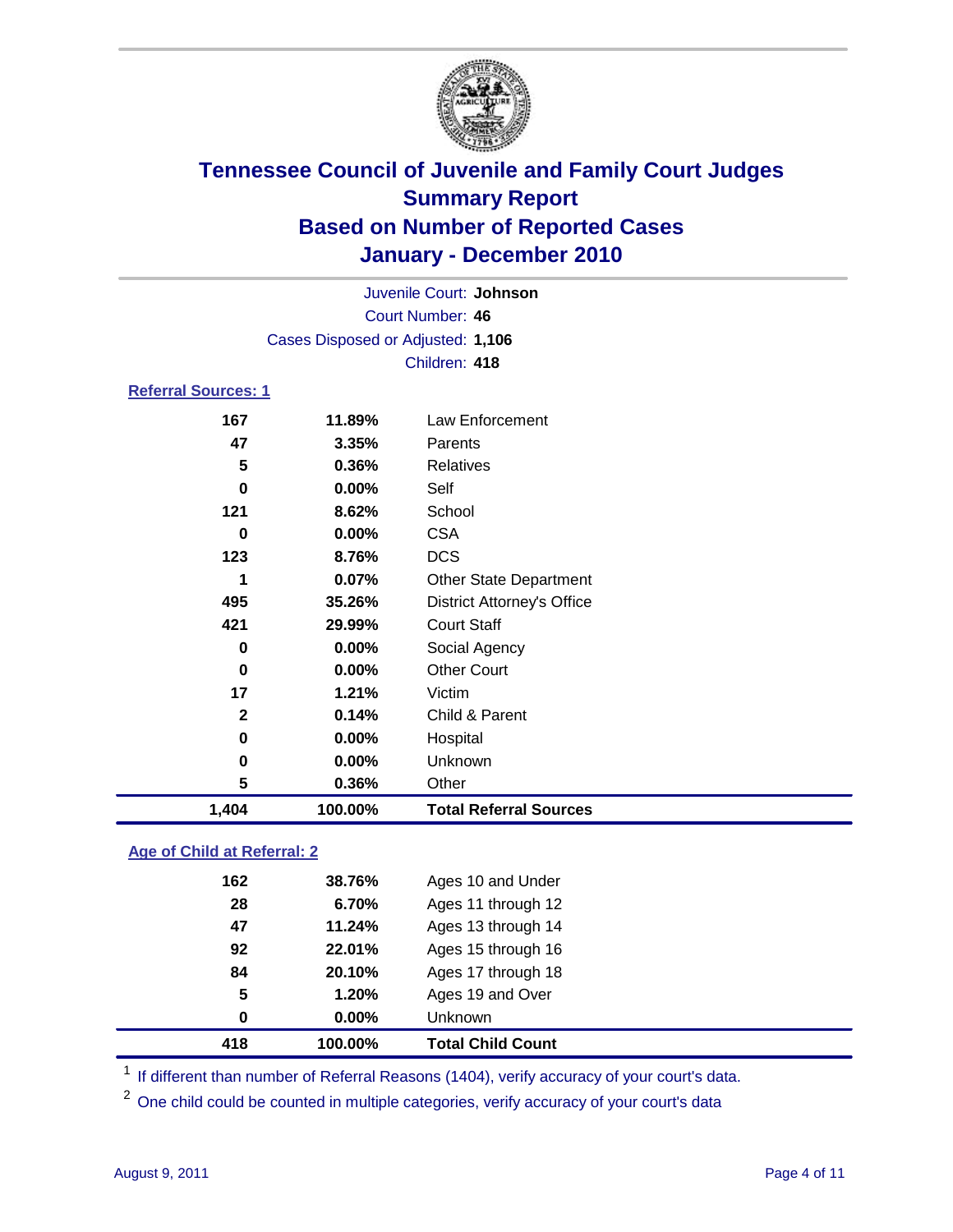

| 1,404                      | 100.00%                           | <b>Total Referral Sources</b>     |  |
|----------------------------|-----------------------------------|-----------------------------------|--|
| 5                          | 0.36%                             | Other                             |  |
| 0                          | $0.00\%$                          | Unknown                           |  |
| 0                          | $0.00\%$                          | Hospital                          |  |
| $\mathbf{2}$               | 0.14%                             | Child & Parent                    |  |
| 17                         | 1.21%                             | Victim                            |  |
| 0                          | $0.00\%$                          | <b>Other Court</b>                |  |
| 0                          | $0.00\%$                          | Social Agency                     |  |
| 421                        | 29.99%                            | <b>Court Staff</b>                |  |
| 495                        | 35.26%                            | <b>District Attorney's Office</b> |  |
| 1                          | 0.07%                             | <b>Other State Department</b>     |  |
| 123                        | 8.76%                             | <b>DCS</b>                        |  |
| 0                          | $0.00\%$                          | <b>CSA</b>                        |  |
| 121                        | 8.62%                             | School                            |  |
| 0                          | $0.00\%$                          | Self                              |  |
| 5                          | 0.36%                             | <b>Relatives</b>                  |  |
| 47                         | 3.35%                             | Parents                           |  |
| 167                        | 11.89%                            | Law Enforcement                   |  |
| <b>Referral Sources: 1</b> |                                   |                                   |  |
|                            |                                   | Children: 418                     |  |
|                            | Cases Disposed or Adjusted: 1,106 |                                   |  |
|                            |                                   | <b>Court Number: 46</b>           |  |
|                            |                                   | Juvenile Court: Johnson           |  |
|                            |                                   |                                   |  |

### **Age of Child at Referral: 2**

| 418 | 100.00%  | <b>Total Child Count</b> |
|-----|----------|--------------------------|
| 0   | $0.00\%$ | <b>Unknown</b>           |
| 5   | 1.20%    | Ages 19 and Over         |
| 84  | 20.10%   | Ages 17 through 18       |
| 92  | 22.01%   | Ages 15 through 16       |
| 47  | 11.24%   | Ages 13 through 14       |
| 28  | 6.70%    | Ages 11 through 12       |
| 162 | 38.76%   | Ages 10 and Under        |
|     |          |                          |

<sup>1</sup> If different than number of Referral Reasons (1404), verify accuracy of your court's data.

<sup>2</sup> One child could be counted in multiple categories, verify accuracy of your court's data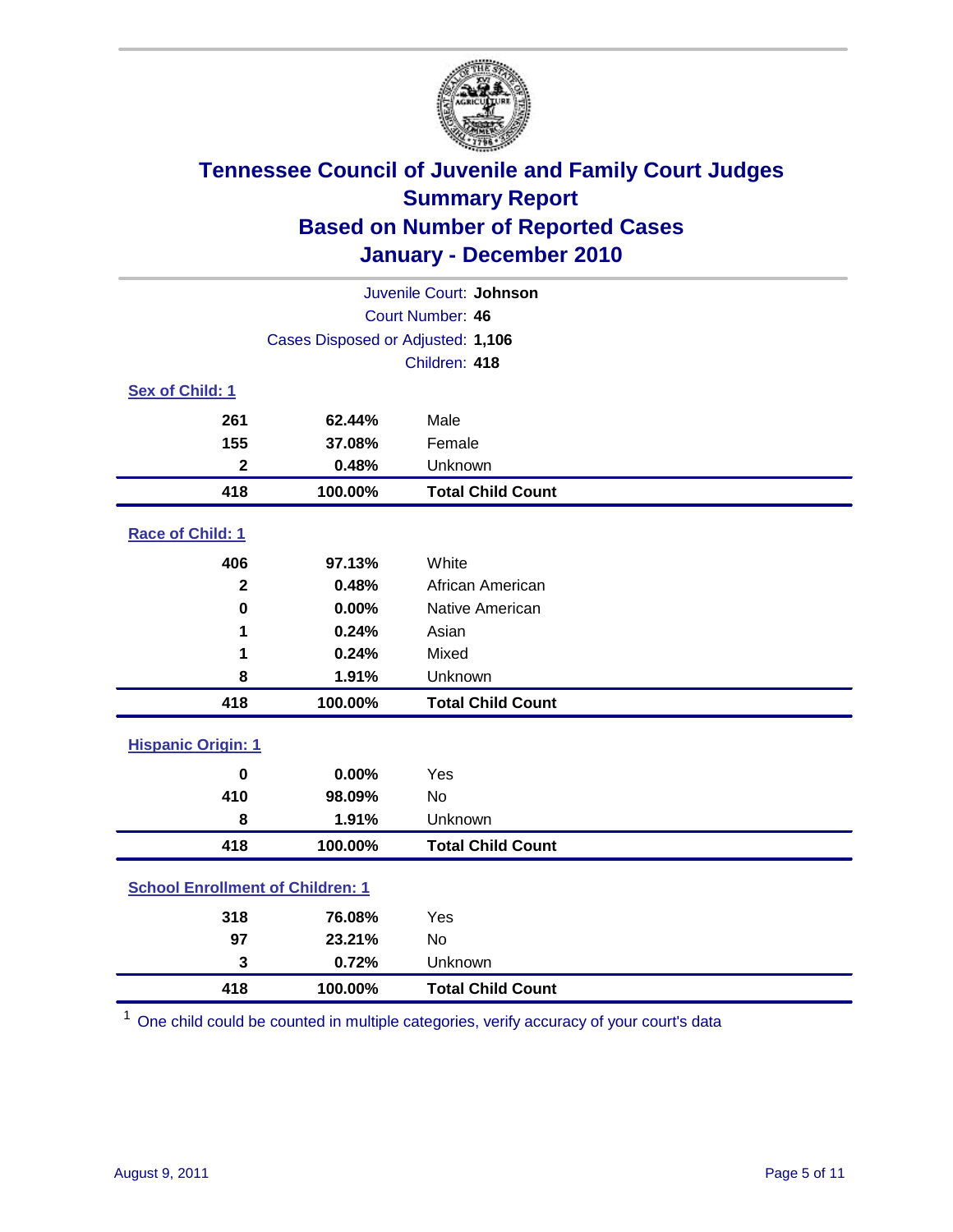

| Juvenile Court: Johnson                 |                                   |                          |  |  |  |
|-----------------------------------------|-----------------------------------|--------------------------|--|--|--|
|                                         | <b>Court Number: 46</b>           |                          |  |  |  |
|                                         | Cases Disposed or Adjusted: 1,106 |                          |  |  |  |
|                                         |                                   | Children: 418            |  |  |  |
| Sex of Child: 1                         |                                   |                          |  |  |  |
| 261                                     | 62.44%                            | Male                     |  |  |  |
| 155                                     | 37.08%                            | Female                   |  |  |  |
| $\mathbf{2}$                            | 0.48%                             | Unknown                  |  |  |  |
| 418                                     | 100.00%                           | <b>Total Child Count</b> |  |  |  |
| Race of Child: 1                        |                                   |                          |  |  |  |
| 406                                     | 97.13%                            | White                    |  |  |  |
| $\overline{\mathbf{2}}$                 | 0.48%                             | African American         |  |  |  |
| $\mathbf 0$                             | 0.00%                             | Native American          |  |  |  |
| 1                                       | 0.24%                             | Asian                    |  |  |  |
| 1                                       | 0.24%                             | Mixed                    |  |  |  |
| 8                                       | 1.91%                             | Unknown                  |  |  |  |
| 418                                     | 100.00%                           | <b>Total Child Count</b> |  |  |  |
| <b>Hispanic Origin: 1</b>               |                                   |                          |  |  |  |
| $\mathbf 0$                             | 0.00%                             | Yes                      |  |  |  |
| 410                                     | 98.09%                            | <b>No</b>                |  |  |  |
| 8                                       | 1.91%                             | Unknown                  |  |  |  |
| 418                                     | 100.00%                           | <b>Total Child Count</b> |  |  |  |
| <b>School Enrollment of Children: 1</b> |                                   |                          |  |  |  |
| 318                                     | 76.08%                            | Yes                      |  |  |  |
| 97                                      | 23.21%                            | No                       |  |  |  |
| 3                                       | 0.72%                             | Unknown                  |  |  |  |
| 418                                     | 100.00%                           | <b>Total Child Count</b> |  |  |  |

One child could be counted in multiple categories, verify accuracy of your court's data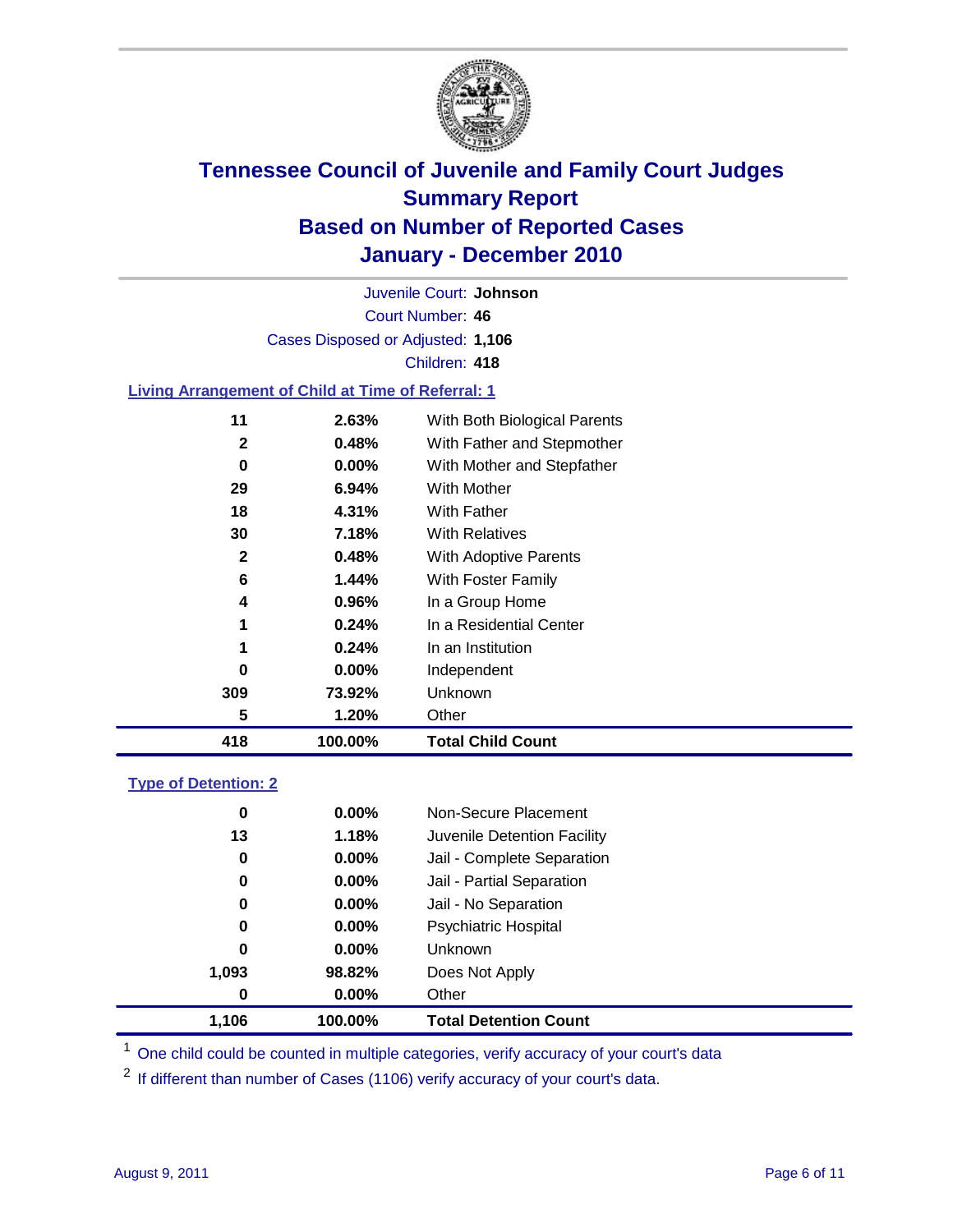

Court Number: **46** Juvenile Court: **Johnson** Cases Disposed or Adjusted: **1,106** Children: **418**

### **Living Arrangement of Child at Time of Referral: 1**

| 418          | 100.00%  | <b>Total Child Count</b>     |
|--------------|----------|------------------------------|
| 5            | 1.20%    | Other                        |
| 309          | 73.92%   | Unknown                      |
| 0            | $0.00\%$ | Independent                  |
| 1            | 0.24%    | In an Institution            |
| 1            | 0.24%    | In a Residential Center      |
| 4            | 0.96%    | In a Group Home              |
| 6            | 1.44%    | With Foster Family           |
| $\mathbf{2}$ | 0.48%    | With Adoptive Parents        |
| 30           | 7.18%    | <b>With Relatives</b>        |
| 18           | 4.31%    | <b>With Father</b>           |
| 29           | $6.94\%$ | With Mother                  |
| 0            | $0.00\%$ | With Mother and Stepfather   |
| 2            | 0.48%    | With Father and Stepmother   |
| 11           | 2.63%    | With Both Biological Parents |
|              |          |                              |

#### **Type of Detention: 2**

| 1.106    | 100.00%  | <b>Total Detention Count</b> |
|----------|----------|------------------------------|
| $\bf{0}$ | $0.00\%$ | Other                        |
| 1,093    | 98.82%   | Does Not Apply               |
| 0        | $0.00\%$ | Unknown                      |
| 0        | $0.00\%$ | <b>Psychiatric Hospital</b>  |
| 0        | 0.00%    | Jail - No Separation         |
| 0        | $0.00\%$ | Jail - Partial Separation    |
| 0        | 0.00%    | Jail - Complete Separation   |
| 13       | 1.18%    | Juvenile Detention Facility  |
| 0        | $0.00\%$ | Non-Secure Placement         |
|          |          |                              |

<sup>1</sup> One child could be counted in multiple categories, verify accuracy of your court's data

<sup>2</sup> If different than number of Cases (1106) verify accuracy of your court's data.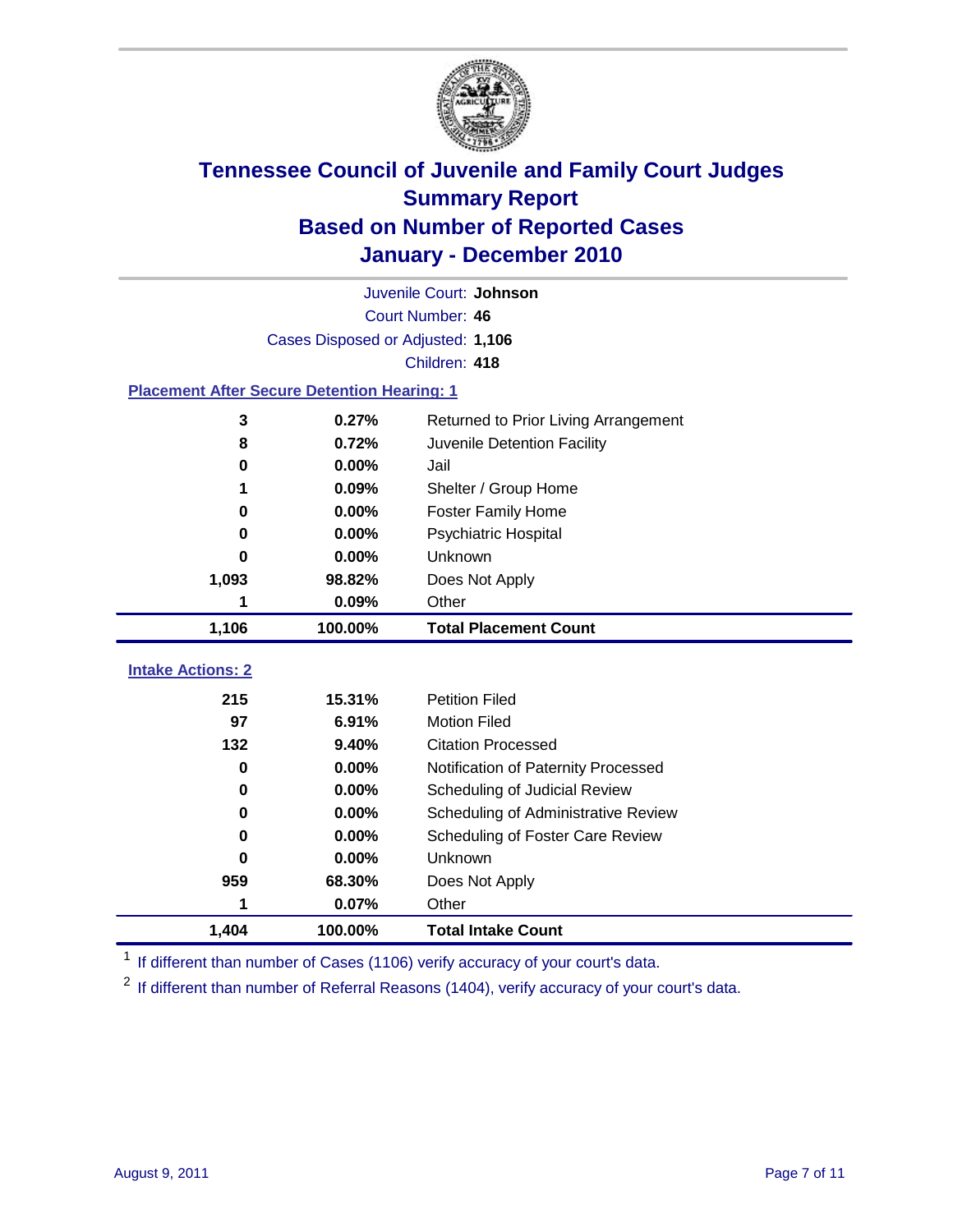

|                                                    | Juvenile Court: Johnson           |                                      |  |  |  |
|----------------------------------------------------|-----------------------------------|--------------------------------------|--|--|--|
|                                                    | Court Number: 46                  |                                      |  |  |  |
|                                                    | Cases Disposed or Adjusted: 1,106 |                                      |  |  |  |
|                                                    |                                   | Children: 418                        |  |  |  |
| <b>Placement After Secure Detention Hearing: 1</b> |                                   |                                      |  |  |  |
| 3                                                  | 0.27%                             | Returned to Prior Living Arrangement |  |  |  |
| 8                                                  | 0.72%                             | Juvenile Detention Facility          |  |  |  |
| 0                                                  | 0.00%                             | Jail                                 |  |  |  |
|                                                    | 0.09%                             | Shelter / Group Home                 |  |  |  |
| 0                                                  | 0.00%                             | <b>Foster Family Home</b>            |  |  |  |
| 0                                                  | 0.00%                             | Psychiatric Hospital                 |  |  |  |
| 0                                                  | 0.00%                             | Unknown                              |  |  |  |
| 1,093                                              | 98.82%                            | Does Not Apply                       |  |  |  |
| 1                                                  | 0.09%                             | Other                                |  |  |  |
| 1,106                                              | 100.00%                           | <b>Total Placement Count</b>         |  |  |  |
|                                                    |                                   |                                      |  |  |  |
| <b>Intake Actions: 2</b>                           |                                   |                                      |  |  |  |
| 215                                                | 15.31%                            | <b>Petition Filed</b>                |  |  |  |
| 97                                                 | 6.91%                             | <b>Motion Filed</b>                  |  |  |  |
| 132                                                | 9.40%                             | <b>Citation Processed</b>            |  |  |  |
| 0                                                  | 0.00%                             | Notification of Paternity Processed  |  |  |  |
| $\mathbf 0$                                        | 0.00%                             | Scheduling of Judicial Review        |  |  |  |
| 0                                                  | 0.00%                             | Scheduling of Administrative Review  |  |  |  |
| 0                                                  | 0.00%                             | Scheduling of Foster Care Review     |  |  |  |
| 0                                                  | 0.00%                             | Unknown                              |  |  |  |
| 959                                                | 68.30%                            | Does Not Apply                       |  |  |  |
| 1                                                  | 0.07%                             | Other                                |  |  |  |
| 1,404                                              | 100.00%                           | <b>Total Intake Count</b>            |  |  |  |

<sup>1</sup> If different than number of Cases (1106) verify accuracy of your court's data.

<sup>2</sup> If different than number of Referral Reasons (1404), verify accuracy of your court's data.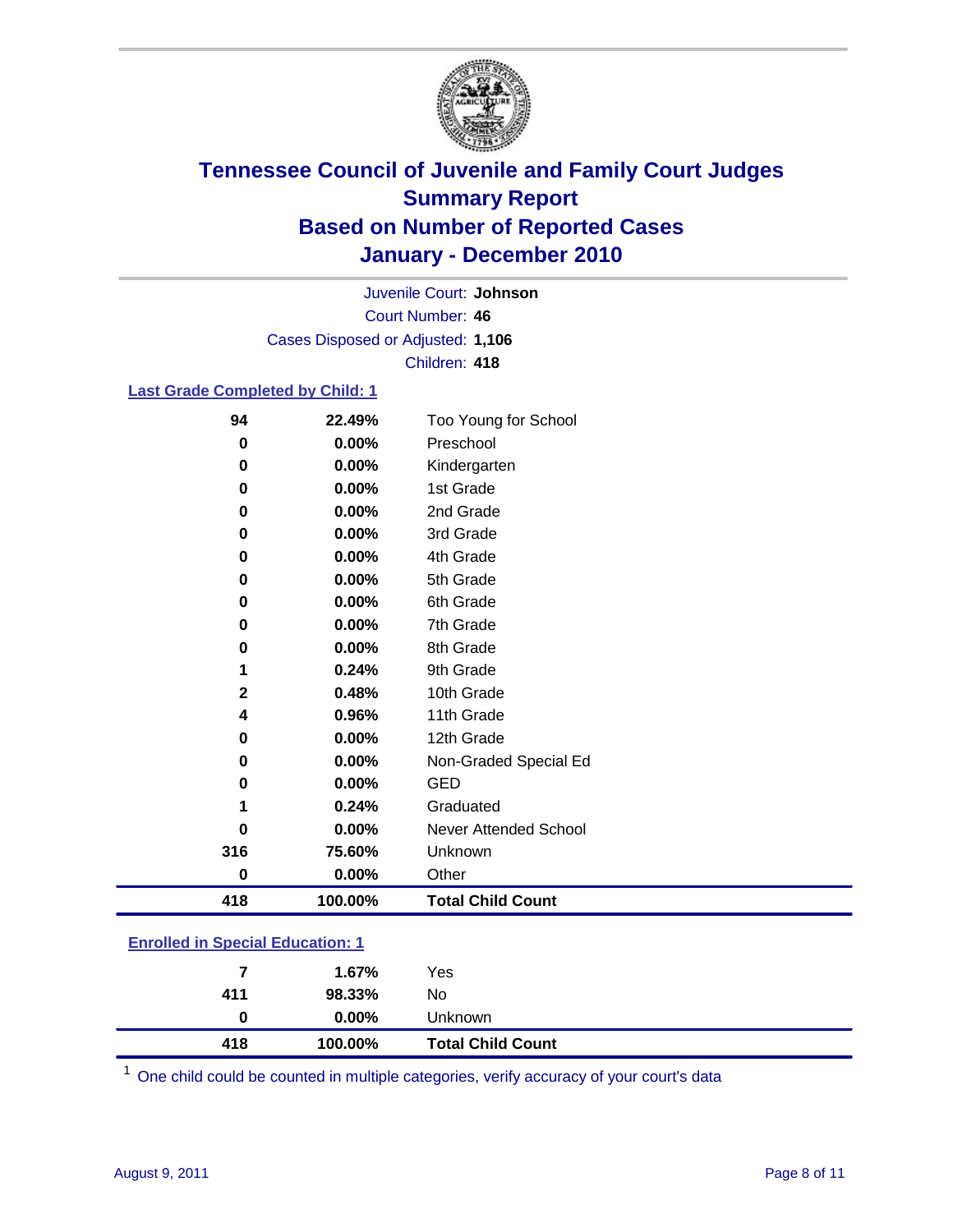

Court Number: **46** Juvenile Court: **Johnson** Cases Disposed or Adjusted: **1,106** Children: **418**

### **Last Grade Completed by Child: 1**

| 94           | 22.49%   | Too Young for School     |
|--------------|----------|--------------------------|
| 0            | 0.00%    | Preschool                |
| 0            | $0.00\%$ | Kindergarten             |
| 0            | 0.00%    | 1st Grade                |
| 0            | $0.00\%$ | 2nd Grade                |
| 0            | $0.00\%$ | 3rd Grade                |
| 0            | 0.00%    | 4th Grade                |
| 0            | 0.00%    | 5th Grade                |
| 0            | 0.00%    | 6th Grade                |
| 0            | $0.00\%$ | 7th Grade                |
| 0            | $0.00\%$ | 8th Grade                |
| 1            | 0.24%    | 9th Grade                |
| $\mathbf{2}$ | 0.48%    | 10th Grade               |
| 4            | 0.96%    | 11th Grade               |
| 0            | $0.00\%$ | 12th Grade               |
| 0            | $0.00\%$ | Non-Graded Special Ed    |
| 0            | 0.00%    | <b>GED</b>               |
| 1            | 0.24%    | Graduated                |
| O            | 0.00%    | Never Attended School    |
| 316          | 75.60%   | Unknown                  |
| 0            | 0.00%    | Other                    |
| 418          | 100.00%  | <b>Total Child Count</b> |

### **Enrolled in Special Education: 1**

| 418 | 100.00%  | <b>Total Child Count</b> |
|-----|----------|--------------------------|
| 0   | $0.00\%$ | Unknown                  |
| 411 | 98.33%   | No                       |
| 7   | 1.67%    | Yes                      |
|     |          |                          |

One child could be counted in multiple categories, verify accuracy of your court's data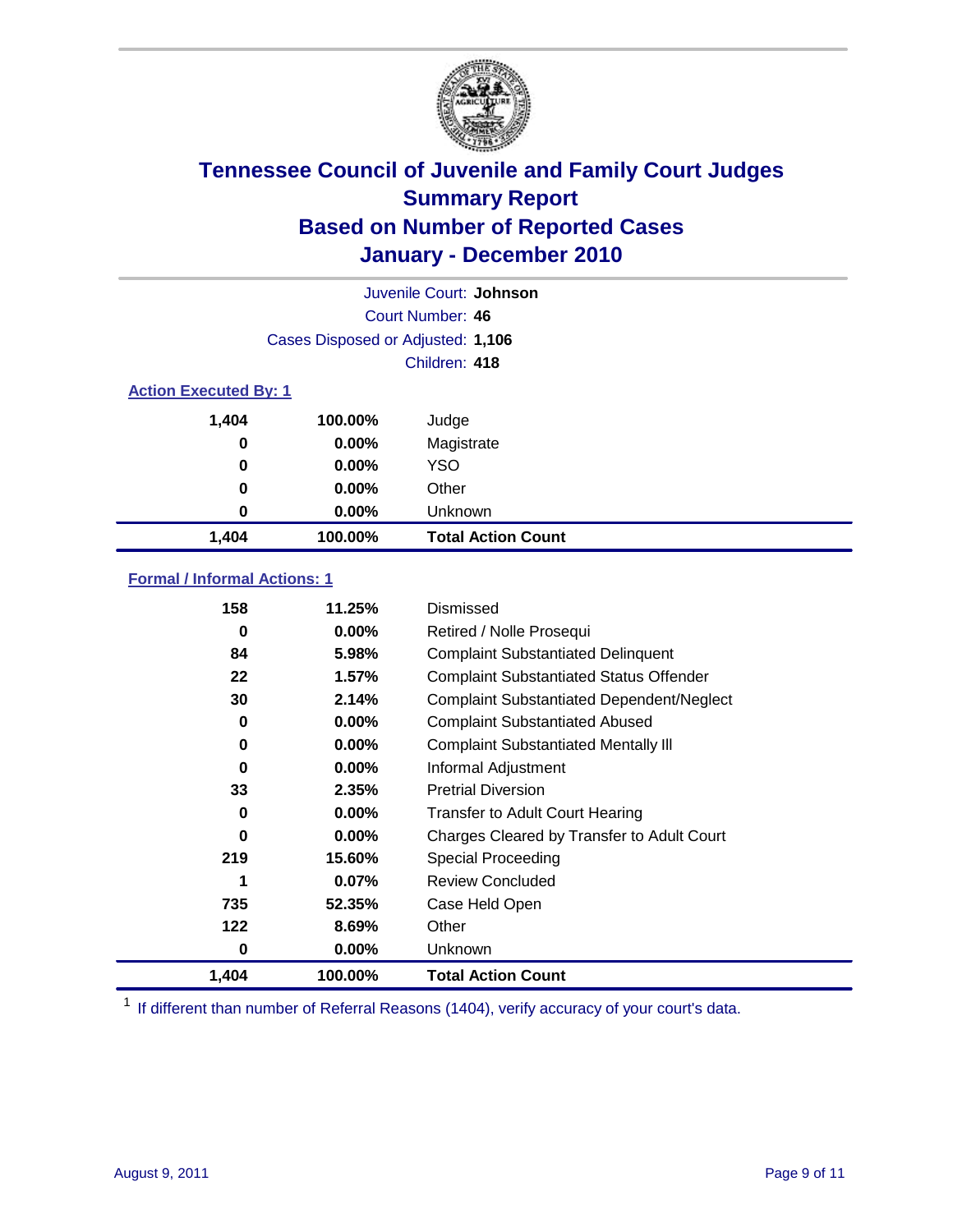

|                              | Juvenile Court: Johnson           |                           |  |  |  |
|------------------------------|-----------------------------------|---------------------------|--|--|--|
|                              | Court Number: 46                  |                           |  |  |  |
|                              | Cases Disposed or Adjusted: 1,106 |                           |  |  |  |
|                              | Children: 418                     |                           |  |  |  |
| <b>Action Executed By: 1</b> |                                   |                           |  |  |  |
| 1,404                        | 100.00%                           | Judge                     |  |  |  |
| 0                            | $0.00\%$                          | Magistrate                |  |  |  |
| 0                            | $0.00\%$                          | <b>YSO</b>                |  |  |  |
| 0                            | $0.00\%$                          | Other                     |  |  |  |
| 0                            | 0.00%                             | Unknown                   |  |  |  |
| 1,404                        | 100.00%                           | <b>Total Action Count</b> |  |  |  |

### **Formal / Informal Actions: 1**

| 158   | 11.25%   | Dismissed                                        |
|-------|----------|--------------------------------------------------|
| 0     | $0.00\%$ | Retired / Nolle Prosequi                         |
| 84    | 5.98%    | <b>Complaint Substantiated Delinquent</b>        |
| 22    | 1.57%    | <b>Complaint Substantiated Status Offender</b>   |
| 30    | 2.14%    | <b>Complaint Substantiated Dependent/Neglect</b> |
| 0     | $0.00\%$ | <b>Complaint Substantiated Abused</b>            |
| 0     | $0.00\%$ | <b>Complaint Substantiated Mentally III</b>      |
| 0     | $0.00\%$ | Informal Adjustment                              |
| 33    | 2.35%    | <b>Pretrial Diversion</b>                        |
| 0     | $0.00\%$ | <b>Transfer to Adult Court Hearing</b>           |
| 0     | $0.00\%$ | Charges Cleared by Transfer to Adult Court       |
| 219   | 15.60%   | Special Proceeding                               |
| 1     | 0.07%    | <b>Review Concluded</b>                          |
| 735   | 52.35%   | Case Held Open                                   |
| 122   | 8.69%    | Other                                            |
| 0     | $0.00\%$ | <b>Unknown</b>                                   |
| 1,404 | 100.00%  | <b>Total Action Count</b>                        |

<sup>1</sup> If different than number of Referral Reasons (1404), verify accuracy of your court's data.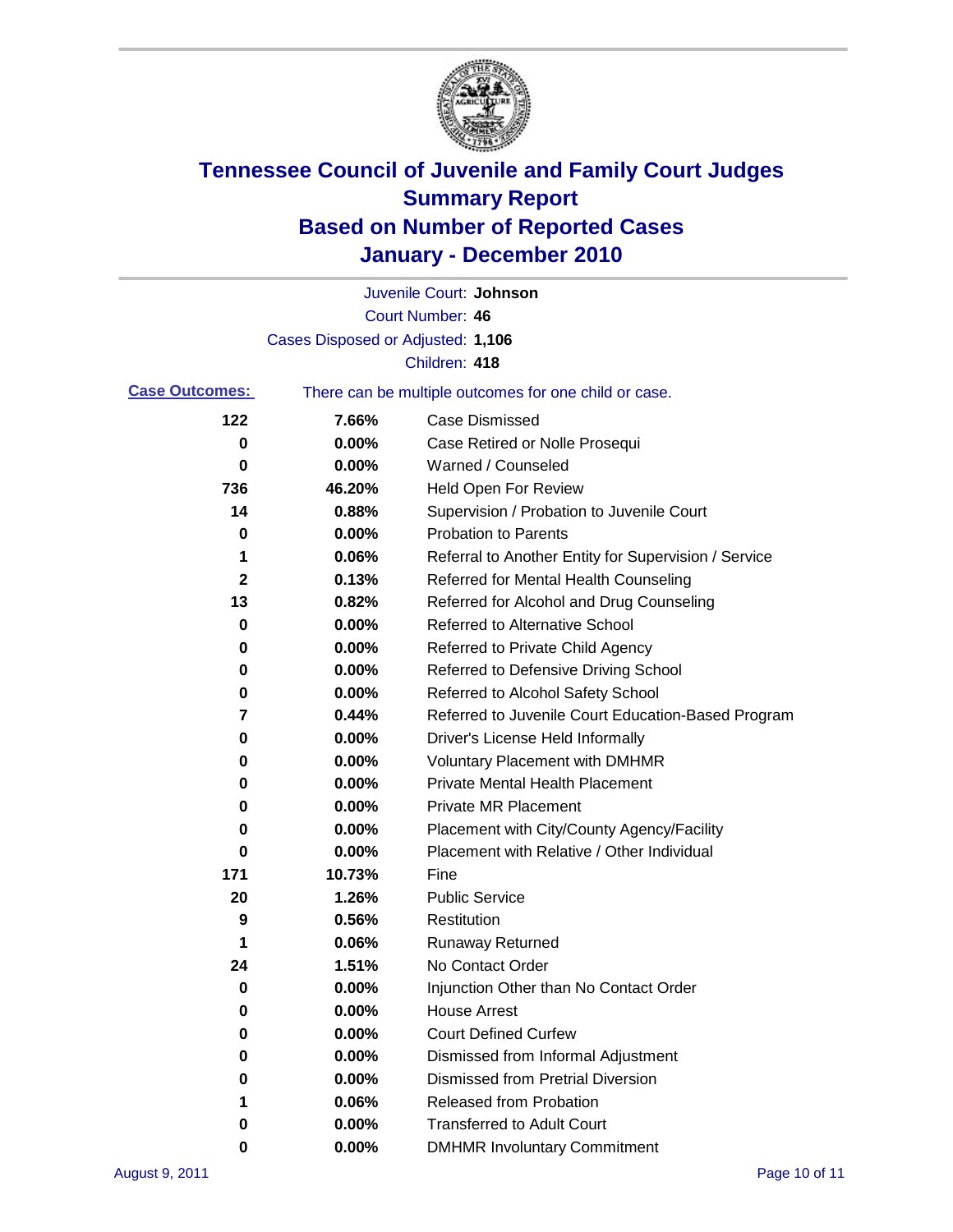

|                       |                                   | Juvenile Court: Johnson                               |
|-----------------------|-----------------------------------|-------------------------------------------------------|
|                       |                                   | Court Number: 46                                      |
|                       | Cases Disposed or Adjusted: 1,106 |                                                       |
|                       |                                   | Children: 418                                         |
| <b>Case Outcomes:</b> |                                   | There can be multiple outcomes for one child or case. |
| 122                   | 7.66%                             | <b>Case Dismissed</b>                                 |
| 0                     | 0.00%                             | Case Retired or Nolle Prosequi                        |
| 0                     | 0.00%                             | Warned / Counseled                                    |
| 736                   | 46.20%                            | <b>Held Open For Review</b>                           |
| 14                    | 0.88%                             | Supervision / Probation to Juvenile Court             |
| 0                     | 0.00%                             | <b>Probation to Parents</b>                           |
| 1                     | 0.06%                             | Referral to Another Entity for Supervision / Service  |
| 2                     | 0.13%                             | Referred for Mental Health Counseling                 |
| 13                    | 0.82%                             | Referred for Alcohol and Drug Counseling              |
| 0                     | 0.00%                             | <b>Referred to Alternative School</b>                 |
| 0                     | 0.00%                             | Referred to Private Child Agency                      |
| 0                     | 0.00%                             | Referred to Defensive Driving School                  |
| 0                     | 0.00%                             | Referred to Alcohol Safety School                     |
| 7                     | 0.44%                             | Referred to Juvenile Court Education-Based Program    |
| 0                     | 0.00%                             | Driver's License Held Informally                      |
| 0                     | 0.00%                             | <b>Voluntary Placement with DMHMR</b>                 |
| 0                     | 0.00%                             | <b>Private Mental Health Placement</b>                |
| 0                     | 0.00%                             | <b>Private MR Placement</b>                           |
| 0                     | 0.00%                             | Placement with City/County Agency/Facility            |
| 0                     | 0.00%                             | Placement with Relative / Other Individual            |
| 171                   | 10.73%                            | Fine                                                  |
| 20                    | 1.26%                             | <b>Public Service</b>                                 |
| 9                     | 0.56%                             | Restitution                                           |
| 1                     | 0.06%                             | <b>Runaway Returned</b>                               |
| 24                    | 1.51%                             | No Contact Order                                      |
| 0                     | 0.00%                             | Injunction Other than No Contact Order                |
| 0                     | 0.00%                             | <b>House Arrest</b>                                   |
| 0                     | 0.00%                             | <b>Court Defined Curfew</b>                           |
| 0                     | 0.00%                             | Dismissed from Informal Adjustment                    |
| 0                     | 0.00%                             | <b>Dismissed from Pretrial Diversion</b>              |
| 1                     | 0.06%                             | Released from Probation                               |
| 0                     | 0.00%                             | <b>Transferred to Adult Court</b>                     |
| 0                     | $0.00\%$                          | <b>DMHMR Involuntary Commitment</b>                   |